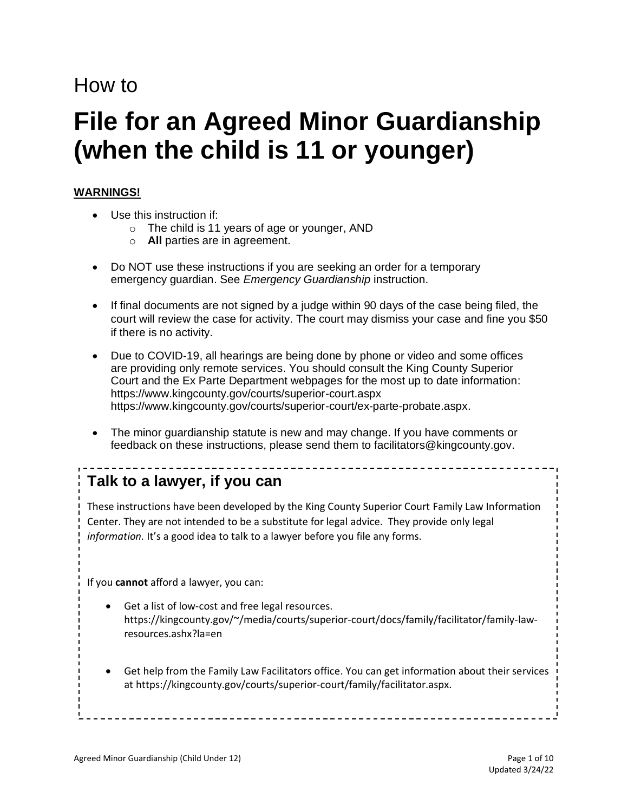# How to

# **File for an Agreed Minor Guardianship (when the child is 11 or younger)**

## **WARNINGS!**

- Use this instruction if:
	- o The child is 11 years of age or younger, AND
	- o **All** parties are in agreement.
- Do NOT use these instructions if you are seeking an order for a temporary emergency guardian. See *Emergency Guardianship* instruction.
- If final documents are not signed by a judge within 90 days of the case being filed, the court will review the case for activity. The court may dismiss your case and fine you \$50 if there is no activity.
- Due to COVID-19, all hearings are being done by phone or video and some offices are providing only remote services. You should consult the King County Superior Court and the Ex Parte Department webpages for the most up to date information: <https://www.kingcounty.gov/courts/superior-court.aspx> [https://www.kingcounty.gov/courts/superior-court/ex-parte-probate.aspx.](https://www.kingcounty.gov/courts/superior-court/ex-parte-probate.aspx)
- The minor guardianship statute is new and may change. If you have comments or feedback on these instructions, please send them to [facilitators@kingcounty.gov.](mailto:facilitators@kingcounty.gov)

# **Talk to a lawyer, if you can**

These instructions have been developed by the King County Superior Court Family Law Information Center. They are not intended to be a substitute for legal advice. They provide only legal *information.* It's a good idea to talk to a lawyer before you file any forms.

\_\_\_\_\_\_\_\_\_\_\_\_\_\_\_\_\_\_\_\_\_\_\_\_\_

If you **cannot** afford a lawyer, you can:

- Get a list of low-cost and free legal resources. [https://kingcounty.gov/~/media/courts/superior-court/docs/family/facilitator/family-law](https://kingcounty.gov/~/media/courts/superior-court/docs/family/facilitator/family-law-resources.ashx?la=en)[resources.ashx?la=en](https://kingcounty.gov/~/media/courts/superior-court/docs/family/facilitator/family-law-resources.ashx?la=en)
- Get help from the Family Law Facilitators office. You can get information about their services a[t https://kingcounty.gov/courts/superior-court/family/facilitator.aspx.](https://kingcounty.gov/courts/superior-court/family/facilitator.aspx)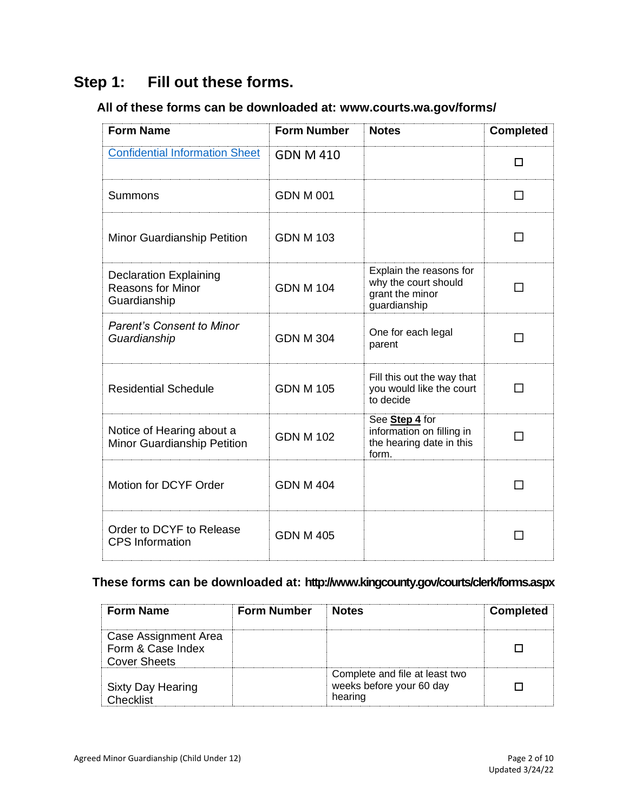# **Step 1: Fill out these forms.**

# **All of these forms can be downloaded at: [www.courts.wa.gov/forms/](http://www.courts.wa.gov/forms/)**

| <b>Form Name</b>                                                          | <b>Form Number</b> | <b>Notes</b>                                                                       | <b>Completed</b> |
|---------------------------------------------------------------------------|--------------------|------------------------------------------------------------------------------------|------------------|
| <b>Confidential Information Sheet</b>                                     | <b>GDN M 410</b>   |                                                                                    | п                |
| Summons                                                                   | <b>GDN M 001</b>   |                                                                                    | H                |
| Minor Guardianship Petition                                               | <b>GDN M 103</b>   |                                                                                    | - 1              |
| <b>Declaration Explaining</b><br><b>Reasons for Minor</b><br>Guardianship | <b>GDN M 104</b>   | Explain the reasons for<br>why the court should<br>grant the minor<br>guardianship | ΙI               |
| <b>Parent's Consent to Minor</b><br>Guardianship                          | <b>GDN M 304</b>   | One for each legal<br>parent                                                       | $\Box$           |
| <b>Residential Schedule</b>                                               | <b>GDN M 105</b>   | Fill this out the way that<br>you would like the court<br>to decide                | П                |
| Notice of Hearing about a<br><b>Minor Guardianship Petition</b>           | <b>GDN M 102</b>   | See Step 4 for<br>information on filling in<br>the hearing date in this<br>form.   |                  |
| Motion for DCYF Order                                                     | <b>GDN M 404</b>   |                                                                                    |                  |
| Order to DCYF to Release<br><b>CPS</b> Information                        | <b>GDN M 405</b>   |                                                                                    |                  |

# **These forms can be downloaded at:<http://www.kingcounty.gov/courts/clerk/forms.aspx>**

| <b>Form Name</b>                                                 | <b>Form Number</b> | <b>Notes</b>                                                          | <b>Completed</b> |
|------------------------------------------------------------------|--------------------|-----------------------------------------------------------------------|------------------|
| Case Assignment Area<br>Form & Case Index<br><b>Cover Sheets</b> |                    |                                                                       |                  |
| <b>Sixty Day Hearing</b><br>?hecklist                            |                    | Complete and file at least two<br>weeks before your 60 day<br>hearing |                  |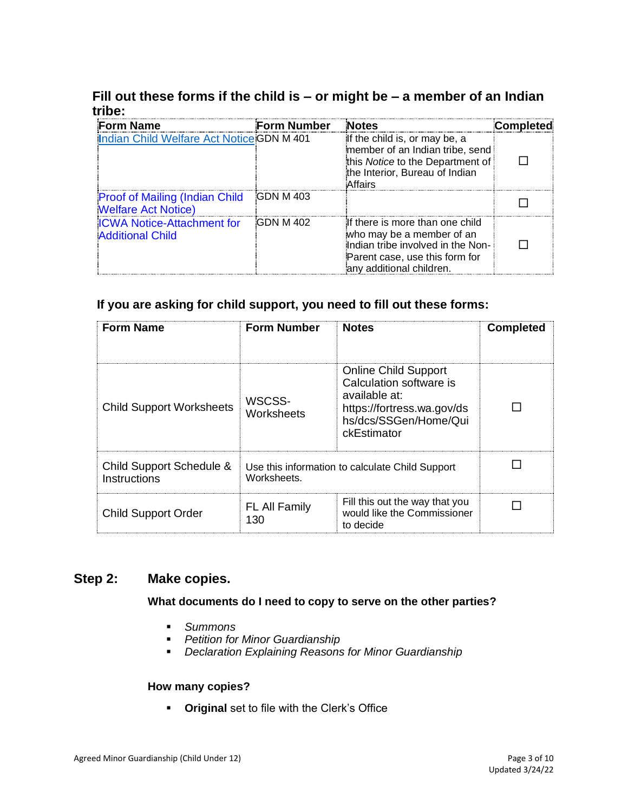# **Fill out these forms if the child is – or might be – a member of an Indian tribe:**

| <b>Form Name</b>                                                     | <b>Form Number</b> | <b>Notes</b>                                                                                                                                                    | <b>Completed</b> |
|----------------------------------------------------------------------|--------------------|-----------------------------------------------------------------------------------------------------------------------------------------------------------------|------------------|
| Indian Child Welfare Act Notice GDN M 401                            |                    | If the child is, or may be, a<br>member of an Indian tribe, send<br>this Notice to the Department of<br>the Interior, Bureau of Indian<br>Affairs               |                  |
| <b>Proof of Mailing (Indian Child)</b><br><b>Welfare Act Notice)</b> | <b>GDN M 403</b>   |                                                                                                                                                                 |                  |
| <b>ICWA Notice-Attachment for</b><br><b>Additional Child</b>         | <b>GDN M 402</b>   | If there is more than one child<br>who may be a member of an<br>Indian tribe involved in the Non-<br>Parent case, use this form for<br>any additional children. |                  |

#### **If you are asking for child support, you need to fill out these forms:**

| <b>Form Name</b>                         | <b>Form Number</b>   | <b>Notes</b>                                                                                                                                  | <b>Completed</b> |
|------------------------------------------|----------------------|-----------------------------------------------------------------------------------------------------------------------------------------------|------------------|
| <b>Child Support Worksheets</b>          | WSCSS-<br>Worksheets | <b>Online Child Support</b><br>Calculation software is<br>available at:<br>https://fortress.wa.gov/ds<br>hs/dcs/SSGen/Home/Qui<br>ckEstimator |                  |
| Child Support Schedule &<br>Instructions | Worksheets.          | Use this information to calculate Child Support                                                                                               |                  |
| <b>Child Support Order</b>               | FL All Family<br>130 | Fill this out the way that you<br>would like the Commissioner<br>to decide                                                                    |                  |

#### **Step 2: Make copies.**

#### **What documents do I need to copy to serve on the other parties?**

- *Summons*
- *Petition for Minor Guardianship*
- *Declaration Explaining Reasons for Minor Guardianship*

#### **How many copies?**

▪ **Original** set to file with the Clerk's Office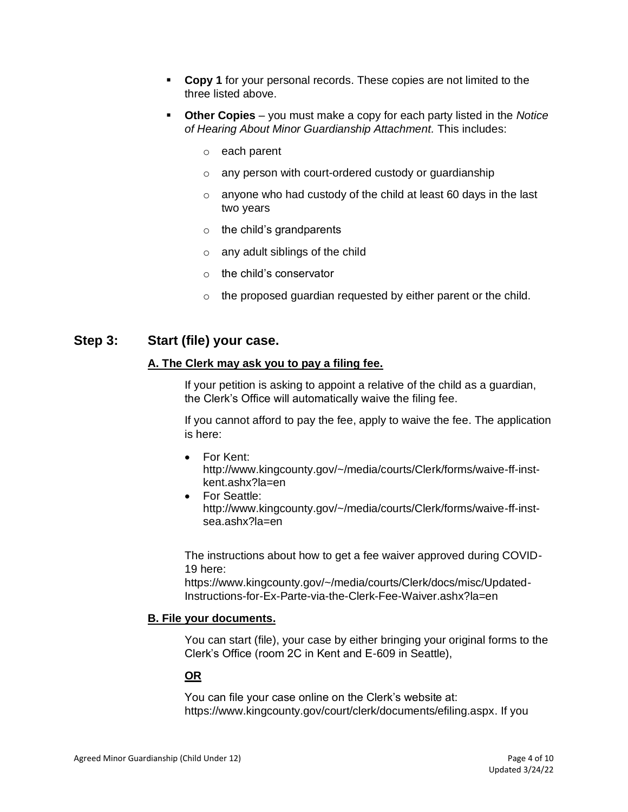- **Copy 1** for your personal records. These copies are not limited to the three listed above.
- **Other Copies**  you must make a copy for each party listed in the *Notice of Hearing About Minor Guardianship Attachment.* This includes:
	- o each parent
	- o any person with court-ordered custody or guardianship
	- $\circ$  anyone who had custody of the child at least 60 days in the last two years
	- $\circ$  the child's grandparents
	- $\circ$  any adult siblings of the child
	- o the child's conservator
	- $\circ$  the proposed guardian requested by either parent or the child.

#### **Step 3: Start (file) your case.**

#### **A. The Clerk may ask you to pay a filing fee.**

If your petition is asking to appoint a relative of the child as a guardian, the Clerk's Office will automatically waive the filing fee.

If you cannot afford to pay the fee, apply to waive the fee. The application is here:

- For [Kent:](file://///scstore/common/ERCM-FLIC/Instructions%20&%20Forms/AUG2020%20FLIC%20INSTRUCTION%20REVIEW/Kent) [http://www.kingcounty.gov/~/media/courts/Clerk/forms/waive-ff-inst](http://www.kingcounty.gov/~/media/courts/Clerk/forms/waive-ff-inst-kent.ashx?la=en)[kent.ashx?la=en](http://www.kingcounty.gov/~/media/courts/Clerk/forms/waive-ff-inst-kent.ashx?la=en)
- For [Seattle:](file://///scstore/common/ERCM-FLIC/Instructions%20&%20Forms/AUG2020%20FLIC%20INSTRUCTION%20REVIEW/Seattle) [http://www.kingcounty.gov/~/media/courts/Clerk/forms/waive-ff-inst](http://www.kingcounty.gov/~/media/courts/Clerk/forms/waive-ff-inst-sea.ashx?la=en)[sea.ashx?la=en](http://www.kingcounty.gov/~/media/courts/Clerk/forms/waive-ff-inst-sea.ashx?la=en)

The instructions about how to get a fee waiver approved during COVID-19 here:

[https://www.kingcounty.gov/~/media/courts/Clerk/docs/misc/Updated-](https://www.kingcounty.gov/~/media/courts/Clerk/docs/misc/Updated-Instructions-for-Ex-Parte-via-the-Clerk-Fee-Waiver.ashx?la=en)[Instructions-for-Ex-Parte-via-the-Clerk-Fee-Waiver.ashx?la=en](https://www.kingcounty.gov/~/media/courts/Clerk/docs/misc/Updated-Instructions-for-Ex-Parte-via-the-Clerk-Fee-Waiver.ashx?la=en)

#### **B. File your documents.**

You can start (file), your case by either bringing your original forms to the Clerk's Office (room 2C in Kent and E-609 in Seattle),

#### **OR**

You can file your case online on the Clerk's website at: [https://www.kingcounty.gov/court/clerk/documents/efiling.aspx.](https://www.kingcounty.gov/court/clerk/documents/efiling.aspx) If you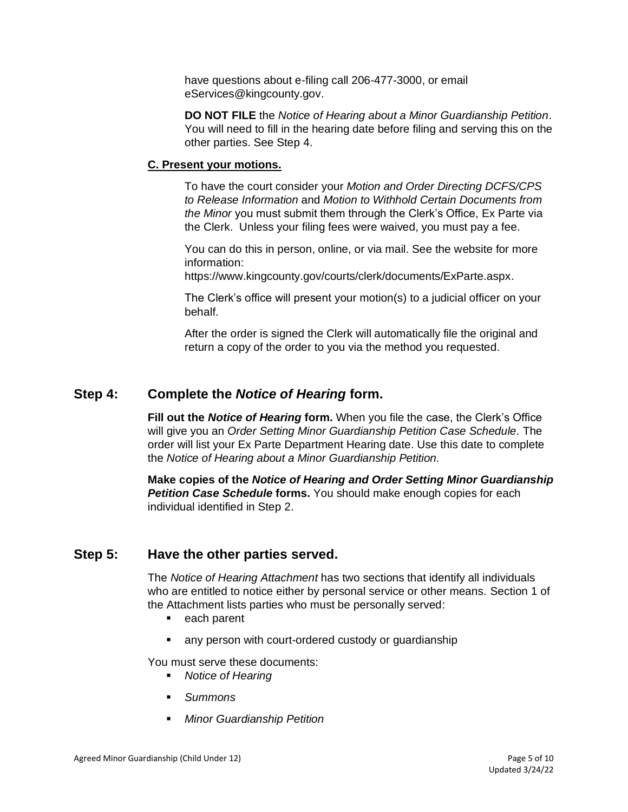have questions about e-filing call 206-477-3000, or email [eServices@kingcounty.gov.](mailto:eServices@kingcounty.gov)

**DO NOT FILE** the *Notice of Hearing about a Minor Guardianship Petition*. You will need to fill in the hearing date before filing and serving this on the other parties. See Step 4.

#### **C. Present your motions.**

To have the court consider your *Motion and Order Directing DCFS/CPS to Release Information* and *Motion to Withhold Certain Documents from the Minor* you must submit them through the Clerk's Office, Ex Parte via the Clerk. Unless your filing fees were waived, you must pay a fee.

You can do this in person, online, or via mail. See the website for more information:

[https://www.kingcounty.gov/courts/clerk/documents/ExParte.aspx.](https://www.kingcounty.gov/courts/clerk/documents/ExParte.aspx)

The Clerk's office will present your motion(s) to a judicial officer on your behalf.

After the order is signed the Clerk will automatically file the original and return a copy of the order to you via the method you requested.

# **Step 4: Complete the** *Notice of Hearing* **form.**

**Fill out the** *Notice of Hearing* **form.** When you file the case, the Clerk's Office will give you an *Order Setting Minor Guardianship Petition Case Schedule.* The order will list your Ex Parte Department Hearing date. Use this date to complete the *Notice of Hearing about a Minor Guardianship Petition.*

**Make copies of the** *Notice of Hearing and Order Setting Minor Guardianship Petition Case Schedule* **forms.** You should make enough copies for each individual identified in Step 2.

# **Step 5: Have the other parties served.**

The *Notice of Hearing Attachment* has two sections that identify all individuals who are entitled to notice either by personal service or other means. Section 1 of the Attachment lists parties who must be personally served:

- each parent
- any person with court-ordered custody or guardianship

You must serve these documents:

- *Notice of Hearing*
- *Summons*
- **Minor Guardianship Petition**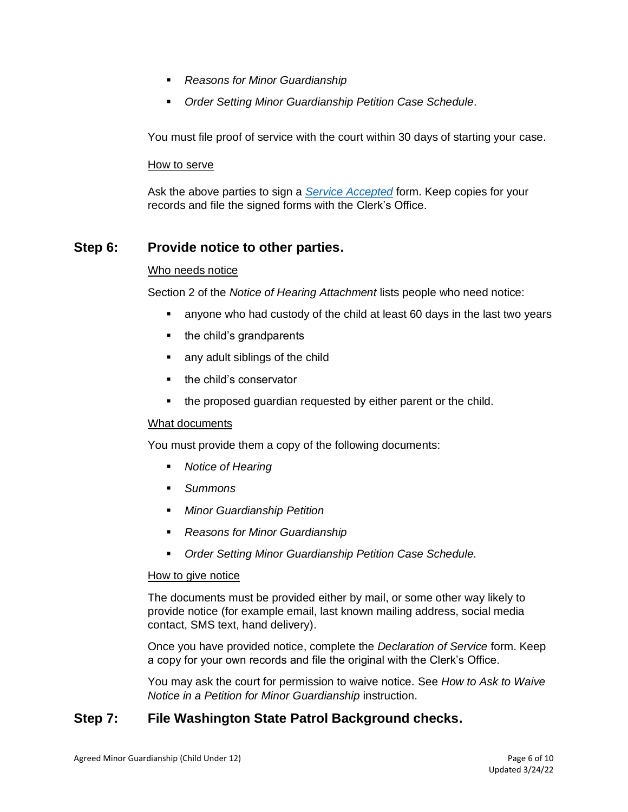- *Reasons for Minor Guardianship*
- **Order Setting Minor Guardianship Petition Case Schedule.**

You must file proof of service with the court within 30 days of starting your case.

#### How to serve

Ask the above parties to sign a *[Service Accepted](https://www.courts.wa.gov/forms/documents/FL%20All%20Family%20117%20Service%20Accepted.doc)* form. Keep copies for your records and file the signed forms with the Clerk's Office.

# **Step 6: Provide notice to other parties.**

#### Who needs notice

Section 2 of the *Notice of Hearing Attachment* lists people who need notice:

- anyone who had custody of the child at least 60 days in the last two years
- the child's grandparents
- any adult siblings of the child
- the child's conservator
- the proposed guardian requested by either parent or the child.

#### What documents

You must provide them a copy of the following documents:

- *Notice of Hearing*
- *Summons*
- *Minor Guardianship Petition*
- *Reasons for Minor Guardianship*
- *Order Setting Minor Guardianship Petition Case Schedule.*

#### How to give notice

The documents must be provided either by mail, or some other way likely to provide notice (for example email, last known mailing address, social media contact, SMS text, hand delivery).

Once you have provided notice, complete the *[Declaration of Service](https://www.courts.wa.gov/forms/documents/GDN%2004%200850%20Decl%20of%20Service%202018%2010.doc)* form. Keep a copy for your own records and file the original with the Clerk's Office.

You may ask the court for permission to waive notice. See *How to Ask to Waive Notice in a Petition for Minor Guardianship* instruction.

# **Step 7: File Washington State Patrol Background checks.**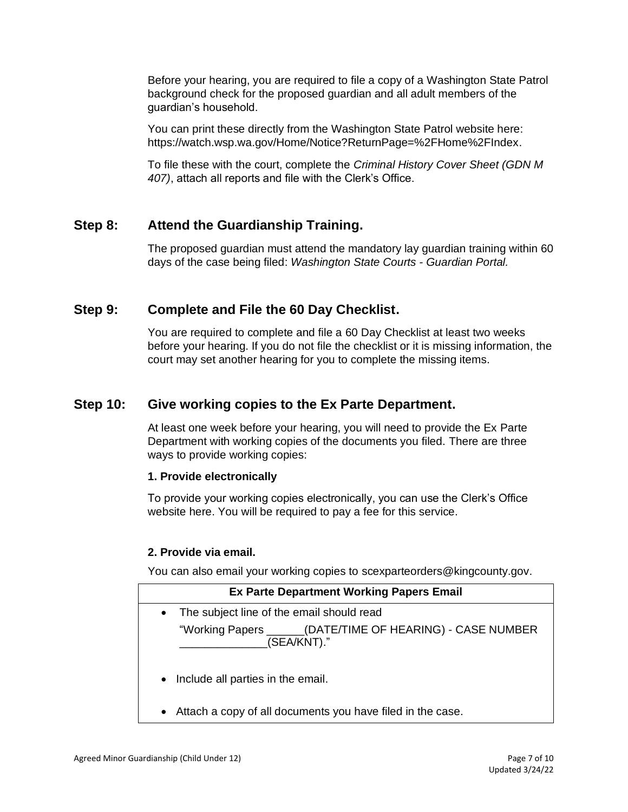Before your hearing, you are required to file a copy of a Washington State Patrol background check for the proposed guardian and all adult members of the guardian's household.

You can print these directly from the Washington State Patrol website here: [https://watch.wsp.wa.gov/Home/Notice?ReturnPage=%2FHome%2FIndex.](https://watch.wsp.wa.gov/Home/Notice?ReturnPage=%2FHome%2FIndex)

To file these with the court, complete the *[Criminal History Cover Sheet \(GDN M](https://www.courts.wa.gov/forms/documents/GDN%20M%20407%20Criminal%20History%20Record%20Cover%20Sheet.pdf)  [407\)](https://www.courts.wa.gov/forms/documents/GDN%20M%20407%20Criminal%20History%20Record%20Cover%20Sheet.pdf)*, attach all reports and file with the Clerk's Office.

# **Step 8: Attend the Guardianship Training.**

The proposed guardian must attend the mandatory lay guardian training within 60 days of the case being filed: *[Washington State Courts -](https://www.courts.wa.gov/guardianportal/index.cfm?fa=guardianportal.title11minor) Guardian Portal.*

# **Step 9: Complete and File the 60 Day Checklist.**

You are required to complete and file a [60 Day Checklist](https://kingcounty.gov/~/media/courts/Clerk/forms/60-day-checklist.ashx?la=en) at least two weeks before your hearing. If you do not file the checklist or it is missing information, the court may set another hearing for you to complete the missing items.

# **Step 10: Give working copies to the Ex Parte Department.**

At least one week before your hearing, you will need to provide the Ex Parte Department with working copies of the documents you filed. There are three ways to provide working copies:

#### **1. Provide electronically**

To provide your working copies electronically, you can use the Clerk's Office website [here.](https://kingcounty.gov/courts/clerk/documents/eWC.aspx) You will be required to pay a fee for this service.

#### **2. Provide via email.**

You can also email your working copies to [scexparteorders@kingcounty.gov.](mailto:scexparteorders@kingcounty.gov)

|           | <b>Ex Parte Department Working Papers Email</b>                           |
|-----------|---------------------------------------------------------------------------|
| $\bullet$ | The subject line of the email should read                                 |
|           | "Working Papers ______(DATE/TIME OF HEARING) - CASE NUMBER<br>(SEA/KNT)." |
| $\bullet$ | Include all parties in the email.                                         |
| $\bullet$ | Attach a copy of all documents you have filed in the case.                |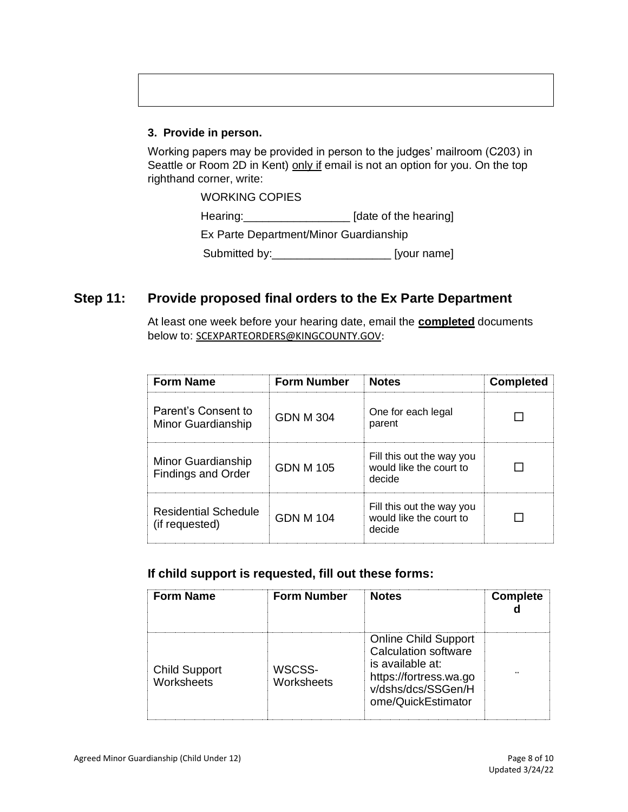#### **3. Provide in person.**

Working papers may be provided in person to the judges' mailroom (C203) in Seattle or Room 2D in Kent) only if email is not an option for you. On the top righthand corner, write:

> WORKING COPIES Hearing:\_\_\_\_\_\_\_\_\_\_\_\_\_\_\_\_\_\_\_\_\_\_\_ [date of the hearing] Ex Parte Department/Minor Guardianship Submitted by:\_\_\_\_\_\_\_\_\_\_\_\_\_\_\_\_\_\_\_ [your name]

# **Step 11: Provide proposed final orders to the Ex Parte Department**

At least one week before your hearing date, email the **completed** documents below to: [SCEXPARTEORDERS@KINGCOUNTY.GOV:](mailto:SCEXPARTEORDERS@KINGCOUNTY.GOV)

| <b>Form Name</b>                                | <b>Form Number</b> | <b>Notes</b>                                                   | <b>Completed</b> |
|-------------------------------------------------|--------------------|----------------------------------------------------------------|------------------|
| Parent's Consent to<br>Minor Guardianship       | GDN M 304          | One for each legal<br>parent                                   |                  |
| Minor Guardianship<br><b>Findings and Order</b> | GDN M 105          | Fill this out the way you<br>would like the court to<br>decide |                  |
| <b>Residential Schedule</b><br>(if requested)   | GDN M 104          | Fill this out the way you<br>would like the court to<br>decide |                  |

#### **If child support is requested, fill out these forms:**

| <b>Form Name</b>                   | <b>Form Number</b>   | <b>Notes</b>                                                                                                                                         | <b>Complete</b> |
|------------------------------------|----------------------|------------------------------------------------------------------------------------------------------------------------------------------------------|-----------------|
| <b>Child Support</b><br>Worksheets | WSCSS-<br>Worksheets | <b>Online Child Support</b><br><b>Calculation software</b><br>is available at:<br>https://fortress.wa.go<br>v/dshs/dcs/SSGen/H<br>ome/QuickEstimator |                 |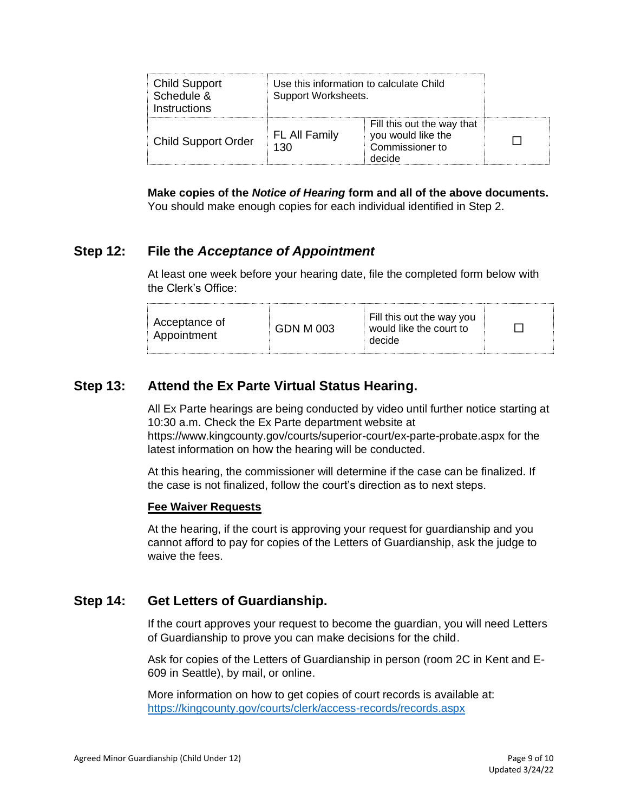| <b>Child Support</b><br>Schedule &<br>Instructions | Use this information to calculate Child<br>Support Worksheets. |                                                                               |  |
|----------------------------------------------------|----------------------------------------------------------------|-------------------------------------------------------------------------------|--|
| <b>Child Support Order</b>                         | FL All Family<br>130                                           | Fill this out the way that<br>you would like the<br>Commissioner to<br>decide |  |

**Make copies of the** *Notice of Hearing* **form and all of the above documents.**  You should make enough copies for each individual identified in Step 2.

#### **Step 12: File the** *Acceptance of Appointment*

At least one week before your hearing date, file the completed form below with the Clerk's Office:

| Fill this out the way you<br>Acceptance of<br><b>GDN M 003</b><br>would like the court to<br>Appointment<br>decide |
|--------------------------------------------------------------------------------------------------------------------|
|--------------------------------------------------------------------------------------------------------------------|

#### **Step 13: Attend the Ex Parte Virtual Status Hearing.**

All Ex Parte hearings are being conducted by video until further notice starting at 10:30 a.m. Check the Ex Parte department website at

<https://www.kingcounty.gov/courts/superior-court/ex-parte-probate.aspx> for the latest information on how the hearing will be conducted.

At this hearing, the commissioner will determine if the case can be finalized. If the case is not finalized, follow the court's direction as to next steps.

#### **Fee Waiver Requests**

At the hearing, if the court is approving your request for guardianship and you cannot afford to pay for copies of the Letters of Guardianship, ask the judge to waive the fees.

#### **Step 14: Get Letters of Guardianship.**

If the court approves your request to become the guardian, you will need Letters of Guardianship to prove you can make decisions for the child.

Ask for copies of the Letters of Guardianship in person (room 2C in Kent and E-609 in Seattle), by mail, or online.

More information on how to get copies of court records is available at: <https://kingcounty.gov/courts/clerk/access-records/records.aspx>